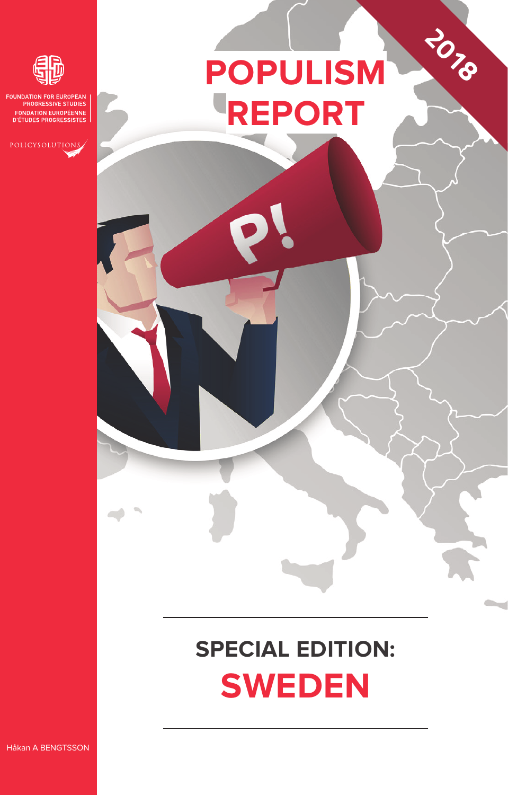# **POPULISM REPORT**

**2018**



**ROGRESSIVE STUDIES FONDATION EUROPÉENNE**<br>D'ÉTUDES PROGRESSISTES

# **SPECIAL EDITION: Sweden**

Håkan A BENGTSSON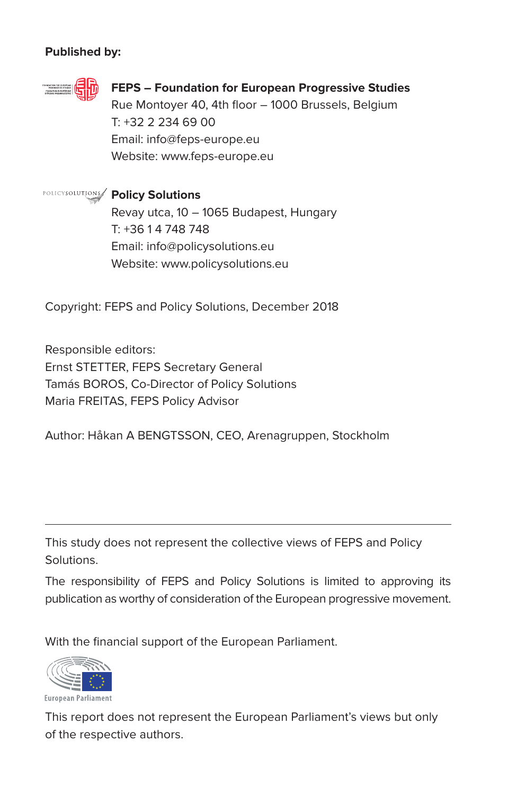#### **Published by:**



#### **FEPS – Foundation for European Progressive Studies**

Rue Montover 40, 4th floor - 1000 Brussels, Belgium T: +32 2 234 69 00 Email: info@feps-europe.eu Website: www.feps-europe.eu

**Policy Solutions** Revay utca, 10 – 1065 Budapest, Hungary T: +36 1 4 748 748 Email: info@policysolutions.eu Website: www.policysolutions.eu

Copyright: FEPS and Policy Solutions, December 2018

Responsible editors: Ernst STETTER, FEPS Secretary General Tamás BOROS, Co-Director of Policy Solutions Maria FREITAS, FEPS Policy Advisor

Author: Håkan A BENGTSSON, CEO, Arenagruppen, Stockholm

This study does not represent the collective views of FEPS and Policy **Solutions** 

The responsibility of FEPS and Policy Solutions is limited to approving its publication as worthy of consideration of the European progressive movement.

With the financial support of the European Parliament.



European Parliament

This report does not represent the European Parliament's views but only of the respective authors.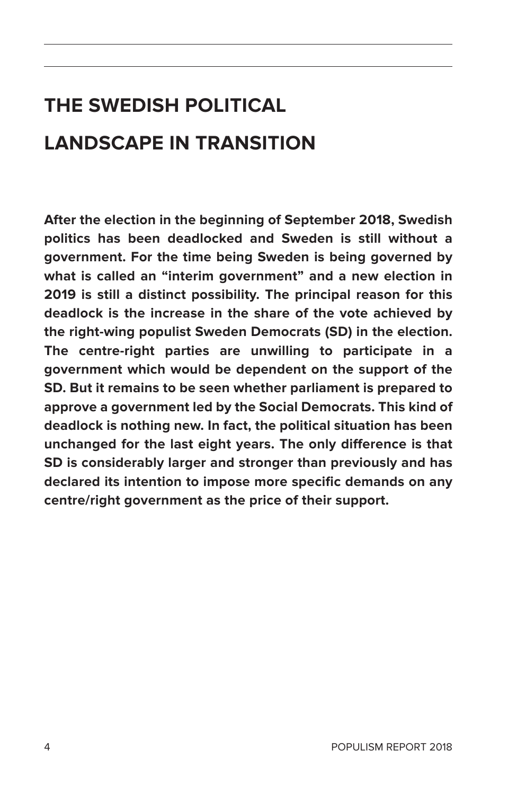## **The Swedish political landscape in transition**

**After the election in the beginning of September 2018, Swedish politics has been deadlocked and Sweden is still without a government. For the time being Sweden is being governed by what is called an "interim government" and a new election in 2019 is still a distinct possibility. The principal reason for this deadlock is the increase in the share of the vote achieved by the right-wing populist Sweden Democrats (SD) in the election. The centre-right parties are unwilling to participate in a government which would be dependent on the support of the SD. But it remains to be seen whether parliament is prepared to approve a government led by the Social Democrats. This kind of deadlock is nothing new. In fact, the political situation has been unchanged for the last eight years. The only difference is that SD is considerably larger and stronger than previously and has declared its intention to impose more specific demands on any centre/right government as the price of their support.**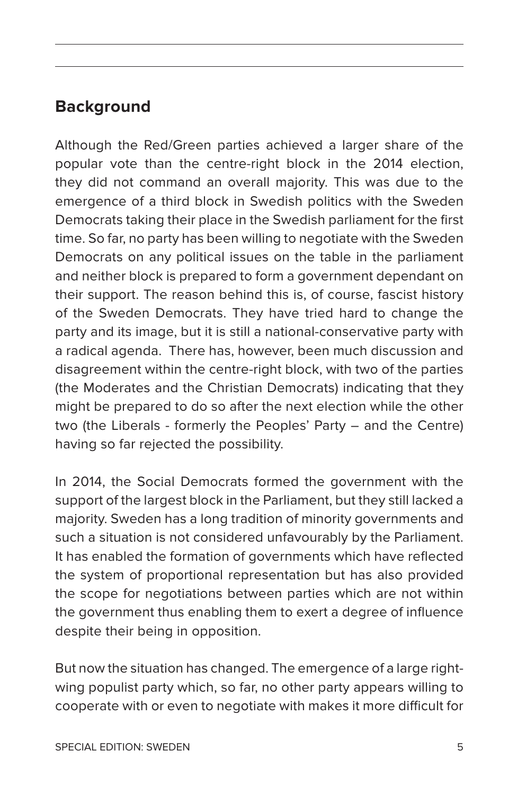### **Background**

Although the Red/Green parties achieved a larger share of the popular vote than the centre-right block in the 2014 election, they did not command an overall majority. This was due to the emergence of a third block in Swedish politics with the Sweden Democrats taking their place in the Swedish parliament for the first time. So far, no party has been willing to negotiate with the Sweden Democrats on any political issues on the table in the parliament and neither block is prepared to form a government dependant on their support. The reason behind this is, of course, fascist history of the Sweden Democrats. They have tried hard to change the party and its image, but it is still a national-conservative party with a radical agenda. There has, however, been much discussion and disagreement within the centre-right block, with two of the parties (the Moderates and the Christian Democrats) indicating that they might be prepared to do so after the next election while the other two (the Liberals - formerly the Peoples' Party – and the Centre) having so far rejected the possibility.

In 2014, the Social Democrats formed the government with the support of the largest block in the Parliament, but they still lacked a majority. Sweden has a long tradition of minority governments and such a situation is not considered unfavourably by the Parliament. It has enabled the formation of governments which have reflected the system of proportional representation but has also provided the scope for negotiations between parties which are not within the government thus enabling them to exert a degree of influence despite their being in opposition.

But now the situation has changed. The emergence of a large rightwing populist party which, so far, no other party appears willing to cooperate with or even to negotiate with makes it more difficult for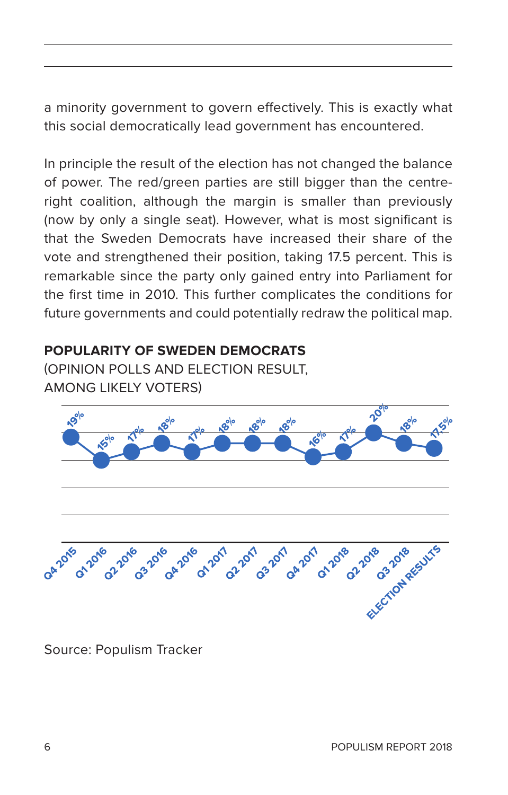a minority government to govern effectively. This is exactly what this social democratically lead government has encountered.

In principle the result of the election has not changed the balance of power. The red/green parties are still bigger than the centreright coalition, although the margin is smaller than previously (now by only a single seat). However, what is most significant is that the Sweden Democrats have increased their share of the vote and strengthened their position, taking 17.5 percent. This is remarkable since the party only gained entry into Parliament for the first time in 2010. This further complicates the conditions for future governments and could potentially redraw the political map.

#### **Popularity of Sweden Democrats**

(opinion polls and election result, among likely voters)



Source: Populism Tracker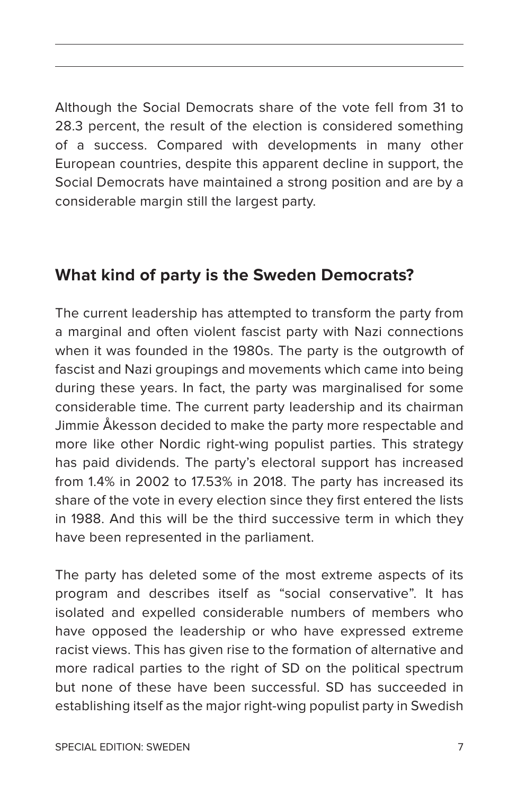Although the Social Democrats share of the vote fell from 31 to 28.3 percent, the result of the election is considered something of a success. Compared with developments in many other European countries, despite this apparent decline in support, the Social Democrats have maintained a strong position and are by a considerable margin still the largest party.

### **What kind of party is the Sweden Democrats?**

The current leadership has attempted to transform the party from a marginal and often violent fascist party with Nazi connections when it was founded in the 1980s. The party is the outgrowth of fascist and Nazi groupings and movements which came into being during these years. In fact, the party was marginalised for some considerable time. The current party leadership and its chairman Jimmie Åkesson decided to make the party more respectable and more like other Nordic right-wing populist parties. This strategy has paid dividends. The party's electoral support has increased from 1.4% in 2002 to 17.53% in 2018. The party has increased its share of the vote in every election since they first entered the lists in 1988. And this will be the third successive term in which they have been represented in the parliament.

The party has deleted some of the most extreme aspects of its program and describes itself as "social conservative". It has isolated and expelled considerable numbers of members who have opposed the leadership or who have expressed extreme racist views. This has given rise to the formation of alternative and more radical parties to the right of SD on the political spectrum but none of these have been successful. SD has succeeded in establishing itself as the major right-wing populist party in Swedish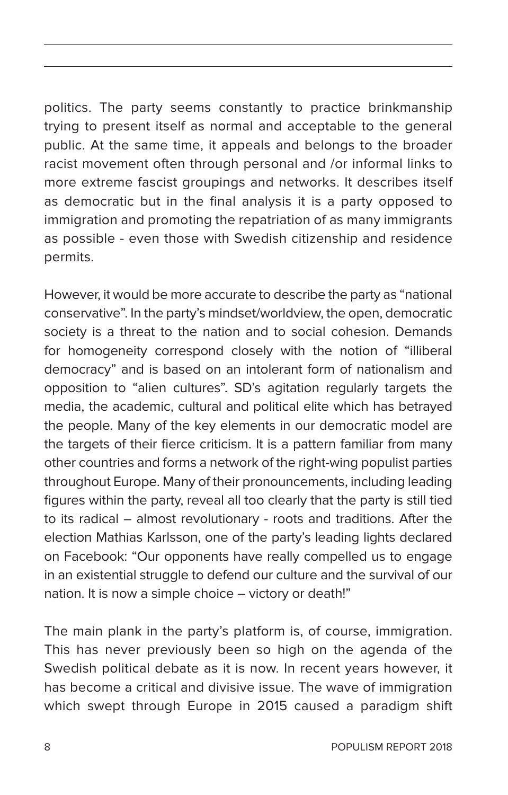politics. The party seems constantly to practice brinkmanship trying to present itself as normal and acceptable to the general public. At the same time, it appeals and belongs to the broader racist movement often through personal and /or informal links to more extreme fascist groupings and networks. It describes itself as democratic but in the final analysis it is a party opposed to immigration and promoting the repatriation of as many immigrants as possible - even those with Swedish citizenship and residence permits.

However, it would be more accurate to describe the party as "national conservative". In the party's mindset/worldview, the open, democratic society is a threat to the nation and to social cohesion. Demands for homogeneity correspond closely with the notion of "illiberal democracy" and is based on an intolerant form of nationalism and opposition to "alien cultures". SD's agitation regularly targets the media, the academic, cultural and political elite which has betrayed the people. Many of the key elements in our democratic model are the targets of their fierce criticism. It is a pattern familiar from many other countries and forms a network of the right-wing populist parties throughout Europe. Many of their pronouncements, including leading figures within the party, reveal all too clearly that the party is still tied to its radical – almost revolutionary - roots and traditions. After the election Mathias Karlsson, one of the party's leading lights declared on Facebook: "Our opponents have really compelled us to engage in an existential struggle to defend our culture and the survival of our nation. It is now a simple choice – victory or death!"

The main plank in the party's platform is, of course, immigration. This has never previously been so high on the agenda of the Swedish political debate as it is now. In recent years however, it has become a critical and divisive issue. The wave of immigration which swept through Europe in 2015 caused a paradigm shift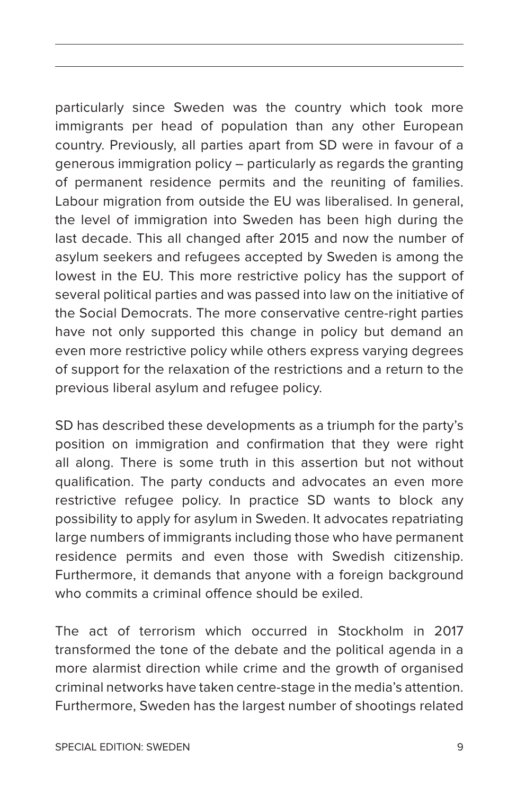particularly since Sweden was the country which took more immigrants per head of population than any other European country. Previously, all parties apart from SD were in favour of a generous immigration policy – particularly as regards the granting of permanent residence permits and the reuniting of families. Labour migration from outside the EU was liberalised. In general, the level of immigration into Sweden has been high during the last decade. This all changed after 2015 and now the number of asylum seekers and refugees accepted by Sweden is among the lowest in the EU. This more restrictive policy has the support of several political parties and was passed into law on the initiative of the Social Democrats. The more conservative centre-right parties have not only supported this change in policy but demand an even more restrictive policy while others express varying degrees of support for the relaxation of the restrictions and a return to the previous liberal asylum and refugee policy.

SD has described these developments as a triumph for the party's position on immigration and confirmation that they were right all along. There is some truth in this assertion but not without qualification. The party conducts and advocates an even more restrictive refugee policy. In practice SD wants to block any possibility to apply for asylum in Sweden. It advocates repatriating large numbers of immigrants including those who have permanent residence permits and even those with Swedish citizenship. Furthermore, it demands that anyone with a foreign background who commits a criminal offence should be exiled.

The act of terrorism which occurred in Stockholm in 2017 transformed the tone of the debate and the political agenda in a more alarmist direction while crime and the growth of organised criminal networks have taken centre-stage in the media's attention. Furthermore, Sweden has the largest number of shootings related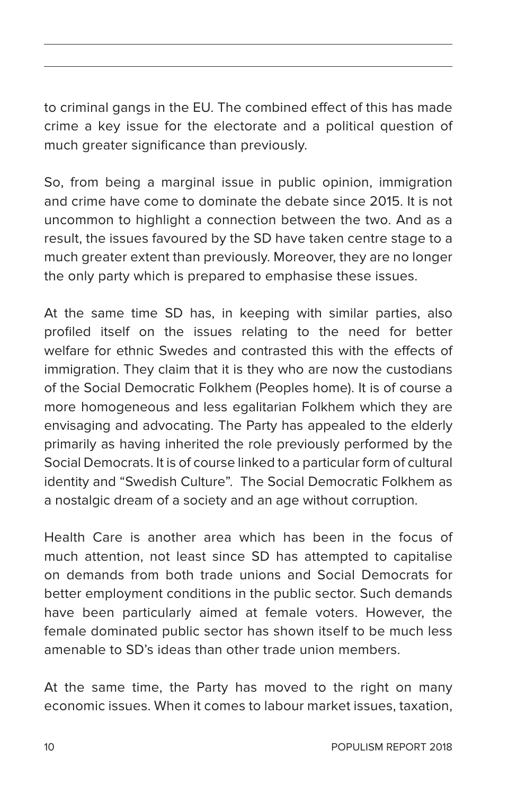to criminal gangs in the EU. The combined effect of this has made crime a key issue for the electorate and a political question of much greater significance than previously.

So, from being a marginal issue in public opinion, immigration and crime have come to dominate the debate since 2015. It is not uncommon to highlight a connection between the two. And as a result, the issues favoured by the SD have taken centre stage to a much greater extent than previously. Moreover, they are no longer the only party which is prepared to emphasise these issues.

At the same time SD has, in keeping with similar parties, also profiled itself on the issues relating to the need for better welfare for ethnic Swedes and contrasted this with the effects of immigration. They claim that it is they who are now the custodians of the Social Democratic Folkhem (Peoples home). It is of course a more homogeneous and less egalitarian Folkhem which they are envisaging and advocating. The Party has appealed to the elderly primarily as having inherited the role previously performed by the Social Democrats. It is of course linked to a particular form of cultural identity and "Swedish Culture". The Social Democratic Folkhem as a nostalgic dream of a society and an age without corruption.

Health Care is another area which has been in the focus of much attention, not least since SD has attempted to capitalise on demands from both trade unions and Social Democrats for better employment conditions in the public sector. Such demands have been particularly aimed at female voters. However, the female dominated public sector has shown itself to be much less amenable to SD's ideas than other trade union members.

At the same time, the Party has moved to the right on many economic issues. When it comes to labour market issues, taxation,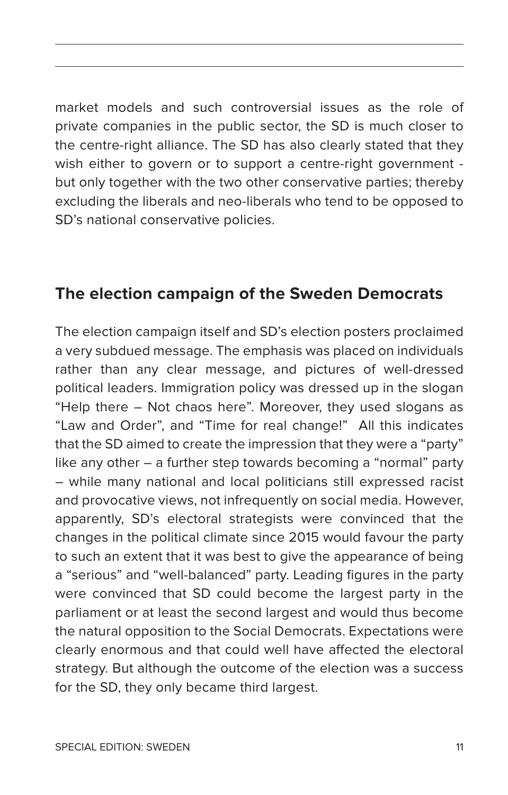market models and such controversial issues as the role of private companies in the public sector, the SD is much closer to the centre-right alliance. The SD has also clearly stated that they wish either to govern or to support a centre-right government but only together with the two other conservative parties; thereby excluding the liberals and neo-liberals who tend to be opposed to SD's national conservative policies.

#### **The election campaign of the Sweden Democrats**

The election campaign itself and SD's election posters proclaimed a very subdued message. The emphasis was placed on individuals rather than any clear message, and pictures of well-dressed political leaders. Immigration policy was dressed up in the slogan "Help there – Not chaos here". Moreover, they used slogans as "Law and Order", and "Time for real change!" All this indicates that the SD aimed to create the impression that they were a "party" like any other – a further step towards becoming a "normal" party – while many national and local politicians still expressed racist and provocative views, not infrequently on social media. However, apparently, SD's electoral strategists were convinced that the changes in the political climate since 2015 would favour the party to such an extent that it was best to give the appearance of being a "serious" and "well-balanced" party. Leading figures in the party were convinced that SD could become the largest party in the parliament or at least the second largest and would thus become the natural opposition to the Social Democrats. Expectations were clearly enormous and that could well have affected the electoral strategy. But although the outcome of the election was a success for the SD, they only became third largest.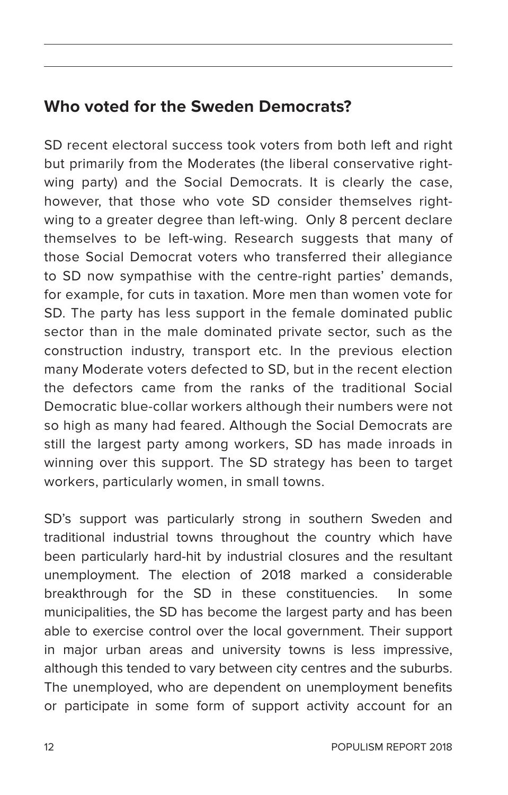### **Who voted for the Sweden Democrats?**

SD recent electoral success took voters from both left and right but primarily from the Moderates (the liberal conservative rightwing party) and the Social Democrats. It is clearly the case, however, that those who vote SD consider themselves rightwing to a greater degree than left-wing. Only 8 percent declare themselves to be left-wing. Research suggests that many of those Social Democrat voters who transferred their allegiance to SD now sympathise with the centre-right parties' demands, for example, for cuts in taxation. More men than women vote for SD. The party has less support in the female dominated public sector than in the male dominated private sector, such as the construction industry, transport etc. In the previous election many Moderate voters defected to SD, but in the recent election the defectors came from the ranks of the traditional Social Democratic blue-collar workers although their numbers were not so high as many had feared. Although the Social Democrats are still the largest party among workers, SD has made inroads in winning over this support. The SD strategy has been to target workers, particularly women, in small towns.

SD's support was particularly strong in southern Sweden and traditional industrial towns throughout the country which have been particularly hard-hit by industrial closures and the resultant unemployment. The election of 2018 marked a considerable breakthrough for the SD in these constituencies. In some municipalities, the SD has become the largest party and has been able to exercise control over the local government. Their support in major urban areas and university towns is less impressive, although this tended to vary between city centres and the suburbs. The unemployed, who are dependent on unemployment benefits or participate in some form of support activity account for an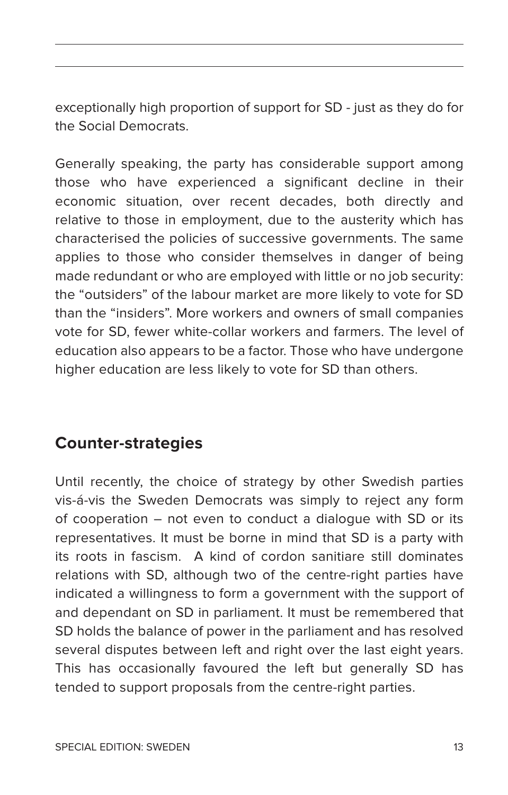exceptionally high proportion of support for SD - just as they do for the Social Democrats.

Generally speaking, the party has considerable support among those who have experienced a significant decline in their economic situation, over recent decades, both directly and relative to those in employment, due to the austerity which has characterised the policies of successive governments. The same applies to those who consider themselves in danger of being made redundant or who are employed with little or no job security: the "outsiders" of the labour market are more likely to vote for SD than the "insiders". More workers and owners of small companies vote for SD, fewer white-collar workers and farmers. The level of education also appears to be a factor. Those who have undergone higher education are less likely to vote for SD than others.

### **Counter-strategies**

Until recently, the choice of strategy by other Swedish parties vis-á-vis the Sweden Democrats was simply to reject any form of cooperation – not even to conduct a dialogue with SD or its representatives. It must be borne in mind that SD is a party with its roots in fascism. A kind of cordon sanitiare still dominates relations with SD, although two of the centre-right parties have indicated a willingness to form a government with the support of and dependant on SD in parliament. It must be remembered that SD holds the balance of power in the parliament and has resolved several disputes between left and right over the last eight years. This has occasionally favoured the left but generally SD has tended to support proposals from the centre-right parties.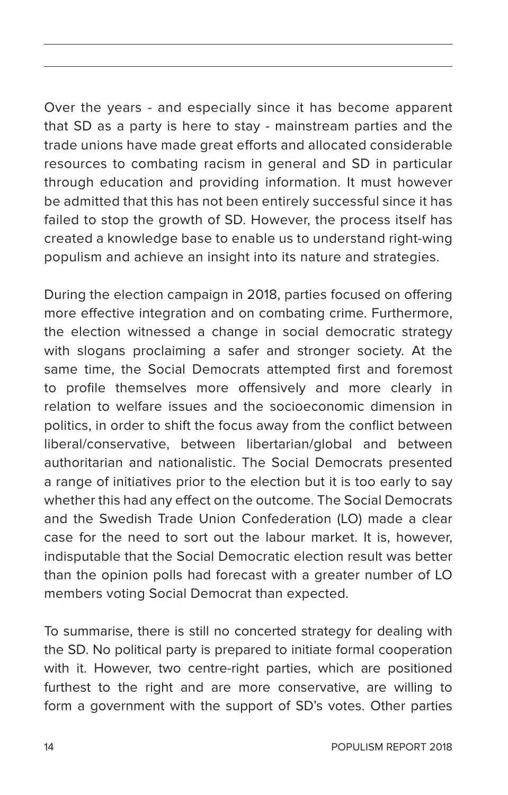Over the years - and especially since it has become apparent that SD as a party is here to stay - mainstream parties and the trade unions have made great efforts and allocated considerable resources to combating racism in general and SD in particular through education and providing information. It must however be admitted that this has not been entirely successful since it has failed to stop the growth of SD. However, the process itself has created a knowledge base to enable us to understand right-wing populism and achieve an insight into its nature and strategies.

During the election campaign in 2018, parties focused on offering more effective integration and on combating crime. Furthermore, the election witnessed a change in social democratic strategy with slogans proclaiming a safer and stronger society. At the same time, the Social Democrats attempted first and foremost to profile themselves more offensively and more clearly in relation to welfare issues and the socioeconomic dimension in politics, in order to shift the focus away from the conflict between liberal/conservative, between libertarian/global and between authoritarian and nationalistic. The Social Democrats presented a range of initiatives prior to the election but it is too early to say whether this had any effect on the outcome. The Social Democrats and the Swedish Trade Union Confederation (LO) made a clear case for the need to sort out the labour market. It is, however, indisputable that the Social Democratic election result was better than the opinion polls had forecast with a greater number of LO members voting Social Democrat than expected.

To summarise, there is still no concerted strategy for dealing with the SD. No political party is prepared to initiate formal cooperation with it. However, two centre-right parties, which are positioned furthest to the right and are more conservative, are willing to form a government with the support of SD's votes. Other parties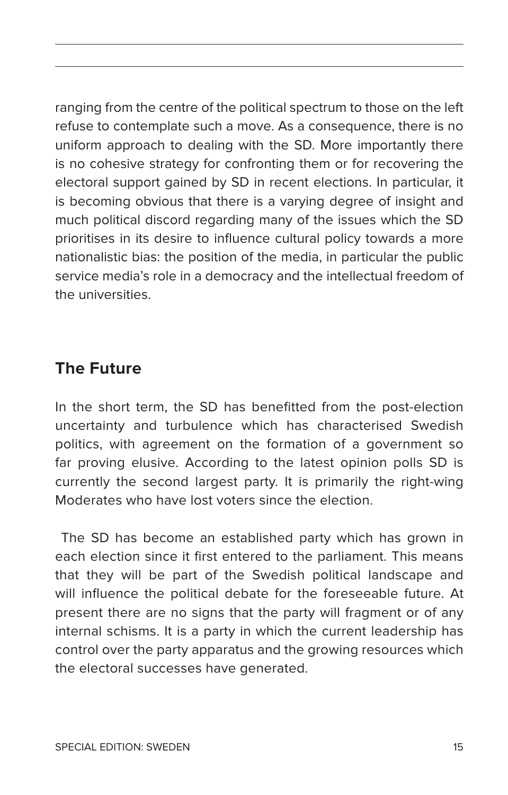ranging from the centre of the political spectrum to those on the left refuse to contemplate such a move. As a consequence, there is no uniform approach to dealing with the SD. More importantly there is no cohesive strategy for confronting them or for recovering the electoral support gained by SD in recent elections. In particular, it is becoming obvious that there is a varying degree of insight and much political discord regarding many of the issues which the SD prioritises in its desire to influence cultural policy towards a more nationalistic bias: the position of the media, in particular the public service media's role in a democracy and the intellectual freedom of the universities.

#### **The Future**

In the short term, the SD has benefitted from the post-election uncertainty and turbulence which has characterised Swedish politics, with agreement on the formation of a government so far proving elusive. According to the latest opinion polls SD is currently the second largest party. It is primarily the right-wing Moderates who have lost voters since the election.

 The SD has become an established party which has grown in each election since it first entered to the parliament. This means that they will be part of the Swedish political landscape and will influence the political debate for the foreseeable future. At present there are no signs that the party will fragment or of any internal schisms. It is a party in which the current leadership has control over the party apparatus and the growing resources which the electoral successes have generated.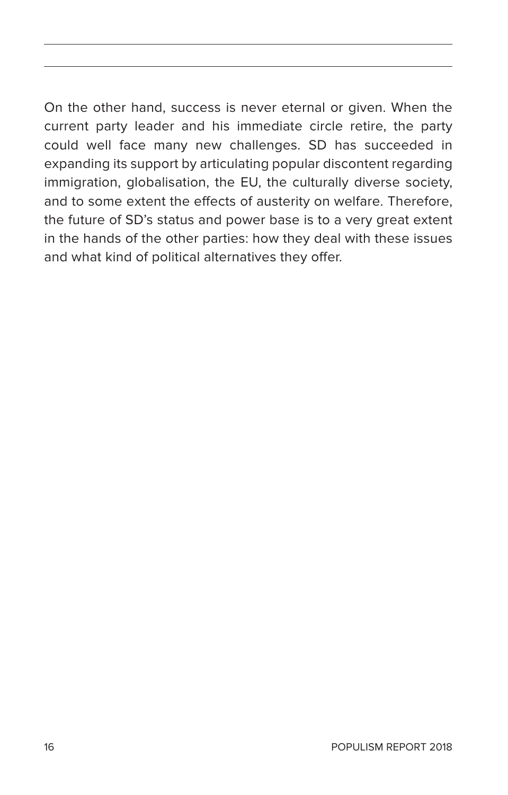On the other hand, success is never eternal or given. When the current party leader and his immediate circle retire, the party could well face many new challenges. SD has succeeded in expanding its support by articulating popular discontent regarding immigration, globalisation, the EU, the culturally diverse society, and to some extent the effects of austerity on welfare. Therefore, the future of SD's status and power base is to a very great extent in the hands of the other parties: how they deal with these issues and what kind of political alternatives they offer.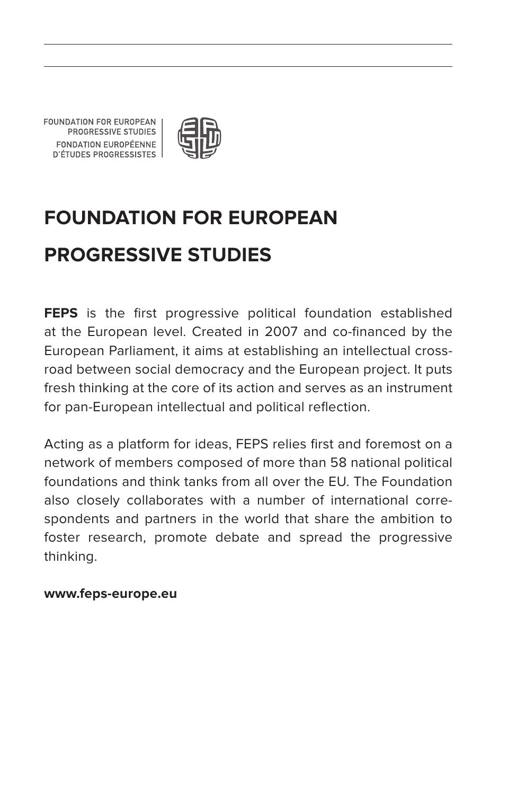FOUNDATION FOR EUROPEAN PROGRESSIVE STUDIES FONDATION FUROPÉENNE **D'ÉTUDES PROGRESSISTES** 



## **Foundation for European Progressive Studies**

**FEPS** is the first progressive political foundation established at the European level. Created in 2007 and co-financed by the European Parliament, it aims at establishing an intellectual crossroad between social democracy and the European project. It puts fresh thinking at the core of its action and serves as an instrument for pan-European intellectual and political reflection.

Acting as a platform for ideas, FEPS relies first and foremost on a network of members composed of more than 58 national political foundations and think tanks from all over the EU. The Foundation also closely collaborates with a number of international correspondents and partners in the world that share the ambition to foster research, promote debate and spread the progressive thinking.

#### **www.feps-europe.eu**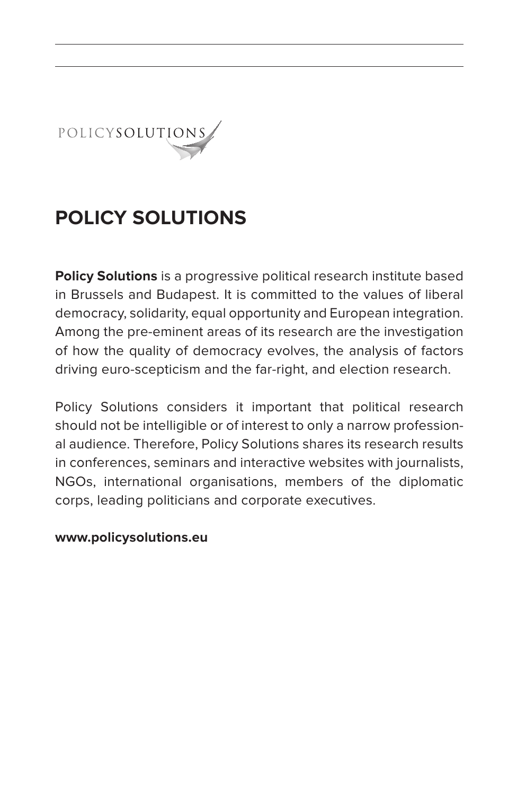

## **POLICy SOLUTIONS**

**Policy Solutions** is a progressive political research institute based in Brussels and Budapest. It is committed to the values of liberal democracy, solidarity, equal opportunity and European integration. Among the pre-eminent areas of its research are the investigation of how the quality of democracy evolves, the analysis of factors driving euro-scepticism and the far-right, and election research.

Policy Solutions considers it important that political research should not be intelligible or of interest to only a narrow professional audience. Therefore, Policy Solutions shares its research results in conferences, seminars and interactive websites with journalists, NGOs, international organisations, members of the diplomatic corps, leading politicians and corporate executives.

#### **www.policysolutions.eu**